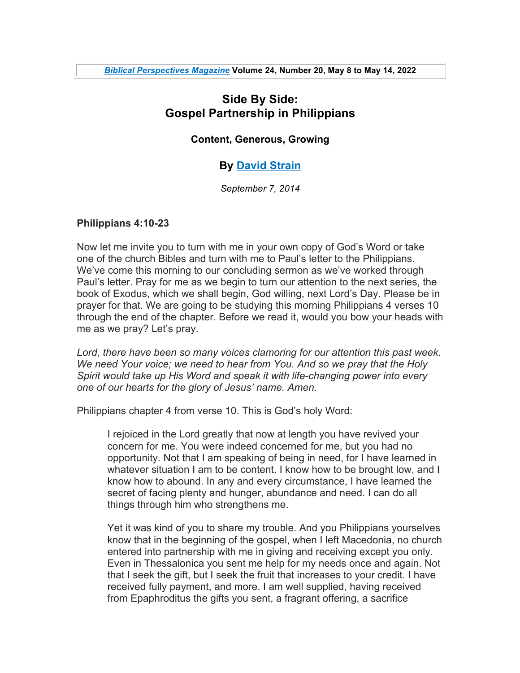# **Side By Side: Gospel Partnership in Philippians**

#### **Content, Generous, Growing**

## **By David Strain**

*September 7, 2014*

#### **Philippians 4:10-23**

Now let me invite you to turn with me in your own copy of God's Word or take one of the church Bibles and turn with me to Paul's letter to the Philippians. We've come this morning to our concluding sermon as we've worked through Paul's letter. Pray for me as we begin to turn our attention to the next series, the book of Exodus, which we shall begin, God willing, next Lord's Day. Please be in prayer for that. We are going to be studying this morning Philippians 4 verses 10 through the end of the chapter. Before we read it, would you bow your heads with me as we pray? Let's pray.

*Lord, there have been so many voices clamoring for our attention this past week. We need Your voice; we need to hear from You. And so we pray that the Holy Spirit would take up His Word and speak it with life-changing power into every one of our hearts for the glory of Jesus' name. Amen.*

Philippians chapter 4 from verse 10. This is God's holy Word:

I rejoiced in the Lord greatly that now at length you have revived your concern for me. You were indeed concerned for me, but you had no opportunity. Not that I am speaking of being in need, for I have learned in whatever situation I am to be content. I know how to be brought low, and I know how to abound. In any and every circumstance, I have learned the secret of facing plenty and hunger, abundance and need. I can do all things through him who strengthens me.

Yet it was kind of you to share my trouble. And you Philippians yourselves know that in the beginning of the gospel, when I left Macedonia, no church entered into partnership with me in giving and receiving except you only. Even in Thessalonica you sent me help for my needs once and again. Not that I seek the gift, but I seek the fruit that increases to your credit. I have received fully payment, and more. I am well supplied, having received from Epaphroditus the gifts you sent, a fragrant offering, a sacrifice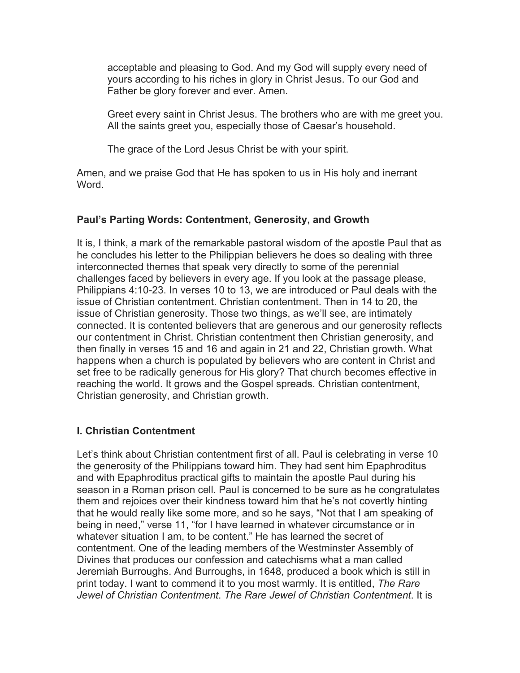acceptable and pleasing to God. And my God will supply every need of yours according to his riches in glory in Christ Jesus. To our God and Father be glory forever and ever. Amen.

Greet every saint in Christ Jesus. The brothers who are with me greet you. All the saints greet you, especially those of Caesar's household.

The grace of the Lord Jesus Christ be with your spirit.

Amen, and we praise God that He has spoken to us in His holy and inerrant Word.

#### **Paul's Parting Words: Contentment, Generosity, and Growth**

It is, I think, a mark of the remarkable pastoral wisdom of the apostle Paul that as he concludes his letter to the Philippian believers he does so dealing with three interconnected themes that speak very directly to some of the perennial challenges faced by believers in every age. If you look at the passage please, Philippians 4:10-23. In verses 10 to 13, we are introduced or Paul deals with the issue of Christian contentment. Christian contentment. Then in 14 to 20, the issue of Christian generosity. Those two things, as we'll see, are intimately connected. It is contented believers that are generous and our generosity reflects our contentment in Christ. Christian contentment then Christian generosity, and then finally in verses 15 and 16 and again in 21 and 22, Christian growth. What happens when a church is populated by believers who are content in Christ and set free to be radically generous for His glory? That church becomes effective in reaching the world. It grows and the Gospel spreads. Christian contentment, Christian generosity, and Christian growth.

## **I. Christian Contentment**

Let's think about Christian contentment first of all. Paul is celebrating in verse 10 the generosity of the Philippians toward him. They had sent him Epaphroditus and with Epaphroditus practical gifts to maintain the apostle Paul during his season in a Roman prison cell. Paul is concerned to be sure as he congratulates them and rejoices over their kindness toward him that he's not covertly hinting that he would really like some more, and so he says, "Not that I am speaking of being in need," verse 11, "for I have learned in whatever circumstance or in whatever situation I am, to be content." He has learned the secret of contentment. One of the leading members of the Westminster Assembly of Divines that produces our confession and catechisms what a man called Jeremiah Burroughs. And Burroughs, in 1648, produced a book which is still in print today. I want to commend it to you most warmly. It is entitled, *The Rare Jewel of Christian Contentment*. *The Rare Jewel of Christian Contentment*. It is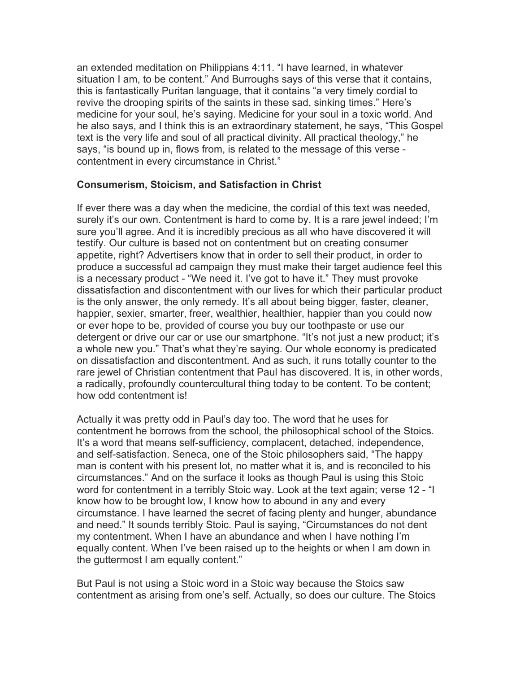an extended meditation on Philippians 4:11. "I have learned, in whatever situation I am, to be content." And Burroughs says of this verse that it contains, this is fantastically Puritan language, that it contains "a very timely cordial to revive the drooping spirits of the saints in these sad, sinking times." Here's medicine for your soul, he's saying. Medicine for your soul in a toxic world. And he also says, and I think this is an extraordinary statement, he says, "This Gospel text is the very life and soul of all practical divinity. All practical theology," he says, "is bound up in, flows from, is related to the message of this verse contentment in every circumstance in Christ."

#### **Consumerism, Stoicism, and Satisfaction in Christ**

If ever there was a day when the medicine, the cordial of this text was needed, surely it's our own. Contentment is hard to come by. It is a rare jewel indeed; I'm sure you'll agree. And it is incredibly precious as all who have discovered it will testify. Our culture is based not on contentment but on creating consumer appetite, right? Advertisers know that in order to sell their product, in order to produce a successful ad campaign they must make their target audience feel this is a necessary product - "We need it. I've got to have it." They must provoke dissatisfaction and discontentment with our lives for which their particular product is the only answer, the only remedy. It's all about being bigger, faster, cleaner, happier, sexier, smarter, freer, wealthier, healthier, happier than you could now or ever hope to be, provided of course you buy our toothpaste or use our detergent or drive our car or use our smartphone. "It's not just a new product; it's a whole new you." That's what they're saying. Our whole economy is predicated on dissatisfaction and discontentment. And as such, it runs totally counter to the rare jewel of Christian contentment that Paul has discovered. It is, in other words, a radically, profoundly countercultural thing today to be content. To be content; how odd contentment is!

Actually it was pretty odd in Paul's day too. The word that he uses for contentment he borrows from the school, the philosophical school of the Stoics. It's a word that means self-sufficiency, complacent, detached, independence, and self-satisfaction. Seneca, one of the Stoic philosophers said, "The happy man is content with his present lot, no matter what it is, and is reconciled to his circumstances." And on the surface it looks as though Paul is using this Stoic word for contentment in a terribly Stoic way. Look at the text again; verse 12 - "I know how to be brought low, I know how to abound in any and every circumstance. I have learned the secret of facing plenty and hunger, abundance and need." It sounds terribly Stoic. Paul is saying, "Circumstances do not dent my contentment. When I have an abundance and when I have nothing I'm equally content. When I've been raised up to the heights or when I am down in the guttermost I am equally content."

But Paul is not using a Stoic word in a Stoic way because the Stoics saw contentment as arising from one's self. Actually, so does our culture. The Stoics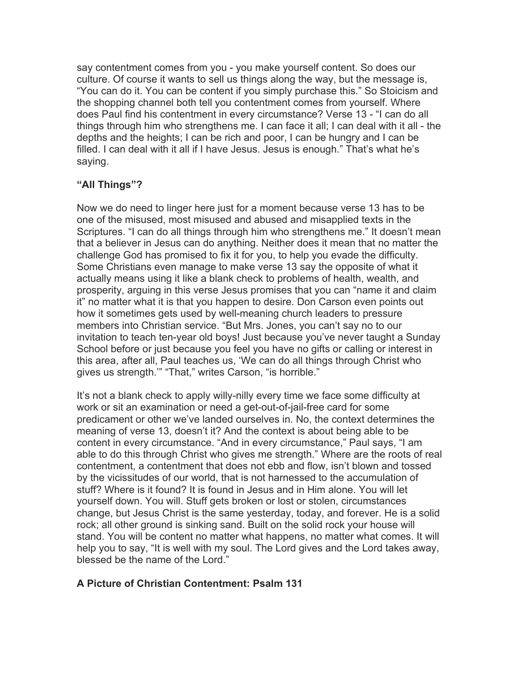say contentment comes from you - you make yourself content. So does our culture. Of course it wants to sell us things along the way, but the message is, "You can do it. You can be content if you simply purchase this." So Stoicism and the shopping channel both tell you contentment comes from yourself. Where does Paul find his contentment in every circumstance? Verse 13 - "I can do all things through him who strengthens me. I can face it all; I can deal with it all - the depths and the heights; I can be rich and poor, I can be hungry and I can be filled. I can deal with it all if I have Jesus. Jesus is enough." That's what he's saying.

#### **"All Things"?**

Now we do need to linger here just for a moment because verse 13 has to be one of the misused, most misused and abused and misapplied texts in the Scriptures. "I can do all things through him who strengthens me." It doesn't mean that a believer in Jesus can do anything. Neither does it mean that no matter the challenge God has promised to fix it for you, to help you evade the difficulty. Some Christians even manage to make verse 13 say the opposite of what it actually means using it like a blank check to problems of health, wealth, and prosperity, arguing in this verse Jesus promises that you can "name it and claim it" no matter what it is that you happen to desire. Don Carson even points out how it sometimes gets used by well-meaning church leaders to pressure members into Christian service. "But Mrs. Jones, you can't say no to our invitation to teach ten-year old boys! Just because you've never taught a Sunday School before or just because you feel you have no gifts or calling or interest in this area, after all, Paul teaches us, 'We can do all things through Christ who gives us strength.'" "That," writes Carson, "is horrible."

It's not a blank check to apply willy-nilly every time we face some difficulty at work or sit an examination or need a get-out-of-jail-free card for some predicament or other we've landed ourselves in. No, the context determines the meaning of verse 13, doesn't it? And the context is about being able to be content in every circumstance. "And in every circumstance," Paul says, "I am able to do this through Christ who gives me strength." Where are the roots of real contentment, a contentment that does not ebb and flow, isn't blown and tossed by the vicissitudes of our world, that is not harnessed to the accumulation of stuff? Where is it found? It is found in Jesus and in Him alone. You will let yourself down. You will. Stuff gets broken or lost or stolen, circumstances change, but Jesus Christ is the same yesterday, today, and forever. He is a solid rock; all other ground is sinking sand. Built on the solid rock your house will stand. You will be content no matter what happens, no matter what comes. It will help you to say, "It is well with my soul. The Lord gives and the Lord takes away, blessed be the name of the Lord."

## **A Picture of Christian Contentment: Psalm 131**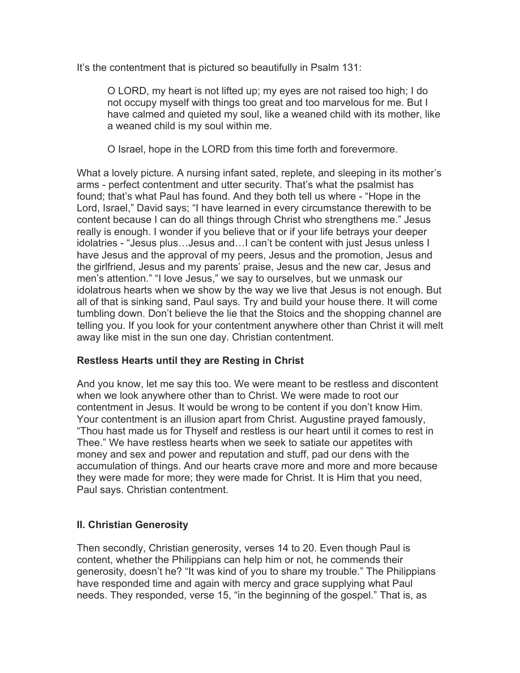It's the contentment that is pictured so beautifully in Psalm 131:

O LORD, my heart is not lifted up; my eyes are not raised too high; I do not occupy myself with things too great and too marvelous for me. But I have calmed and quieted my soul, like a weaned child with its mother, like a weaned child is my soul within me.

O Israel, hope in the LORD from this time forth and forevermore.

What a lovely picture. A nursing infant sated, replete, and sleeping in its mother's arms - perfect contentment and utter security. That's what the psalmist has found; that's what Paul has found. And they both tell us where - "Hope in the Lord, Israel," David says; "I have learned in every circumstance therewith to be content because I can do all things through Christ who strengthens me." Jesus really is enough. I wonder if you believe that or if your life betrays your deeper idolatries - "Jesus plus…Jesus and…I can't be content with just Jesus unless I have Jesus and the approval of my peers, Jesus and the promotion, Jesus and the girlfriend, Jesus and my parents' praise, Jesus and the new car, Jesus and men's attention." "I love Jesus," we say to ourselves, but we unmask our idolatrous hearts when we show by the way we live that Jesus is not enough. But all of that is sinking sand, Paul says. Try and build your house there. It will come tumbling down. Don't believe the lie that the Stoics and the shopping channel are telling you. If you look for your contentment anywhere other than Christ it will melt away like mist in the sun one day. Christian contentment.

## **Restless Hearts until they are Resting in Christ**

And you know, let me say this too. We were meant to be restless and discontent when we look anywhere other than to Christ. We were made to root our contentment in Jesus. It would be wrong to be content if you don't know Him. Your contentment is an illusion apart from Christ. Augustine prayed famously, "Thou hast made us for Thyself and restless is our heart until it comes to rest in Thee." We have restless hearts when we seek to satiate our appetites with money and sex and power and reputation and stuff, pad our dens with the accumulation of things. And our hearts crave more and more and more because they were made for more; they were made for Christ. It is Him that you need, Paul says. Christian contentment.

# **II. Christian Generosity**

Then secondly, Christian generosity, verses 14 to 20. Even though Paul is content, whether the Philippians can help him or not, he commends their generosity, doesn't he? "It was kind of you to share my trouble." The Philippians have responded time and again with mercy and grace supplying what Paul needs. They responded, verse 15, "in the beginning of the gospel." That is, as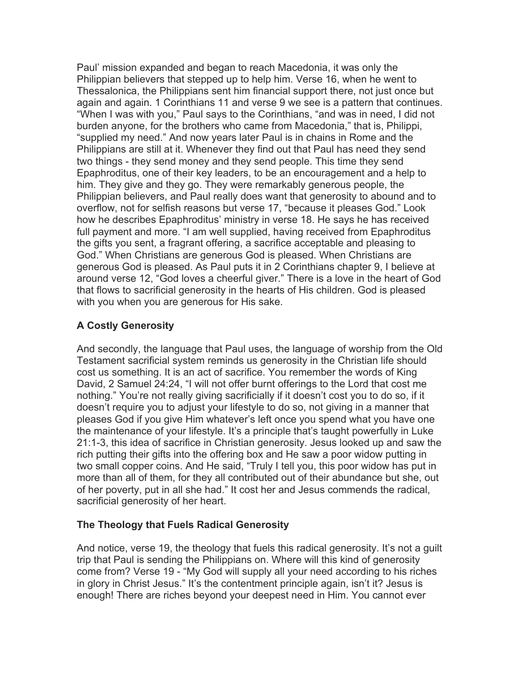Paul' mission expanded and began to reach Macedonia, it was only the Philippian believers that stepped up to help him. Verse 16, when he went to Thessalonica, the Philippians sent him financial support there, not just once but again and again. 1 Corinthians 11 and verse 9 we see is a pattern that continues. "When I was with you," Paul says to the Corinthians, "and was in need, I did not burden anyone, for the brothers who came from Macedonia," that is, Philippi, "supplied my need." And now years later Paul is in chains in Rome and the Philippians are still at it. Whenever they find out that Paul has need they send two things - they send money and they send people. This time they send Epaphroditus, one of their key leaders, to be an encouragement and a help to him. They give and they go. They were remarkably generous people, the Philippian believers, and Paul really does want that generosity to abound and to overflow, not for selfish reasons but verse 17, "because it pleases God." Look how he describes Epaphroditus' ministry in verse 18. He says he has received full payment and more. "I am well supplied, having received from Epaphroditus the gifts you sent, a fragrant offering, a sacrifice acceptable and pleasing to God." When Christians are generous God is pleased. When Christians are generous God is pleased. As Paul puts it in 2 Corinthians chapter 9, I believe at around verse 12, "God loves a cheerful giver." There is a love in the heart of God that flows to sacrificial generosity in the hearts of His children. God is pleased with you when you are generous for His sake.

# **A Costly Generosity**

And secondly, the language that Paul uses, the language of worship from the Old Testament sacrificial system reminds us generosity in the Christian life should cost us something. It is an act of sacrifice. You remember the words of King David, 2 Samuel 24:24, "I will not offer burnt offerings to the Lord that cost me nothing." You're not really giving sacrificially if it doesn't cost you to do so, if it doesn't require you to adjust your lifestyle to do so, not giving in a manner that pleases God if you give Him whatever's left once you spend what you have one the maintenance of your lifestyle. It's a principle that's taught powerfully in Luke 21:1-3, this idea of sacrifice in Christian generosity. Jesus looked up and saw the rich putting their gifts into the offering box and He saw a poor widow putting in two small copper coins. And He said, "Truly I tell you, this poor widow has put in more than all of them, for they all contributed out of their abundance but she, out of her poverty, put in all she had." It cost her and Jesus commends the radical, sacrificial generosity of her heart.

## **The Theology that Fuels Radical Generosity**

And notice, verse 19, the theology that fuels this radical generosity. It's not a guilt trip that Paul is sending the Philippians on. Where will this kind of generosity come from? Verse 19 - "My God will supply all your need according to his riches in glory in Christ Jesus." It's the contentment principle again, isn't it? Jesus is enough! There are riches beyond your deepest need in Him. You cannot ever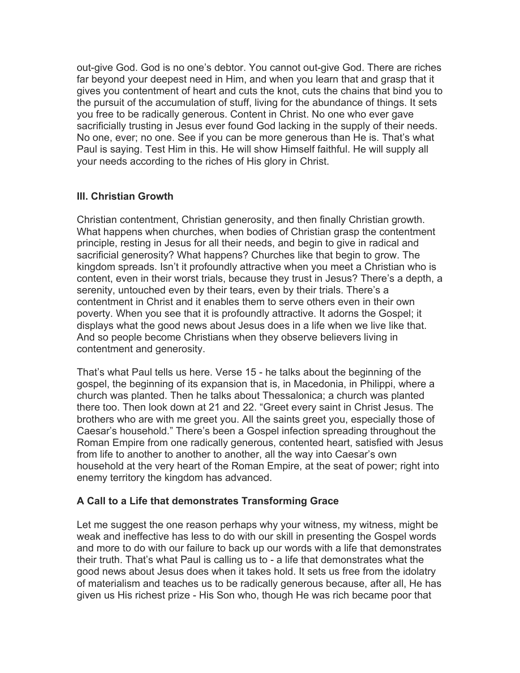out-give God. God is no one's debtor. You cannot out-give God. There are riches far beyond your deepest need in Him, and when you learn that and grasp that it gives you contentment of heart and cuts the knot, cuts the chains that bind you to the pursuit of the accumulation of stuff, living for the abundance of things. It sets you free to be radically generous. Content in Christ. No one who ever gave sacrificially trusting in Jesus ever found God lacking in the supply of their needs. No one, ever; no one. See if you can be more generous than He is. That's what Paul is saying. Test Him in this. He will show Himself faithful. He will supply all your needs according to the riches of His glory in Christ.

# **III. Christian Growth**

Christian contentment, Christian generosity, and then finally Christian growth. What happens when churches, when bodies of Christian grasp the contentment principle, resting in Jesus for all their needs, and begin to give in radical and sacrificial generosity? What happens? Churches like that begin to grow. The kingdom spreads. Isn't it profoundly attractive when you meet a Christian who is content, even in their worst trials, because they trust in Jesus? There's a depth, a serenity, untouched even by their tears, even by their trials. There's a contentment in Christ and it enables them to serve others even in their own poverty. When you see that it is profoundly attractive. It adorns the Gospel; it displays what the good news about Jesus does in a life when we live like that. And so people become Christians when they observe believers living in contentment and generosity.

That's what Paul tells us here. Verse 15 - he talks about the beginning of the gospel, the beginning of its expansion that is, in Macedonia, in Philippi, where a church was planted. Then he talks about Thessalonica; a church was planted there too. Then look down at 21 and 22. "Greet every saint in Christ Jesus. The brothers who are with me greet you. All the saints greet you, especially those of Caesar's household." There's been a Gospel infection spreading throughout the Roman Empire from one radically generous, contented heart, satisfied with Jesus from life to another to another to another, all the way into Caesar's own household at the very heart of the Roman Empire, at the seat of power; right into enemy territory the kingdom has advanced.

## **A Call to a Life that demonstrates Transforming Grace**

Let me suggest the one reason perhaps why your witness, my witness, might be weak and ineffective has less to do with our skill in presenting the Gospel words and more to do with our failure to back up our words with a life that demonstrates their truth. That's what Paul is calling us to - a life that demonstrates what the good news about Jesus does when it takes hold. It sets us free from the idolatry of materialism and teaches us to be radically generous because, after all, He has given us His richest prize - His Son who, though He was rich became poor that